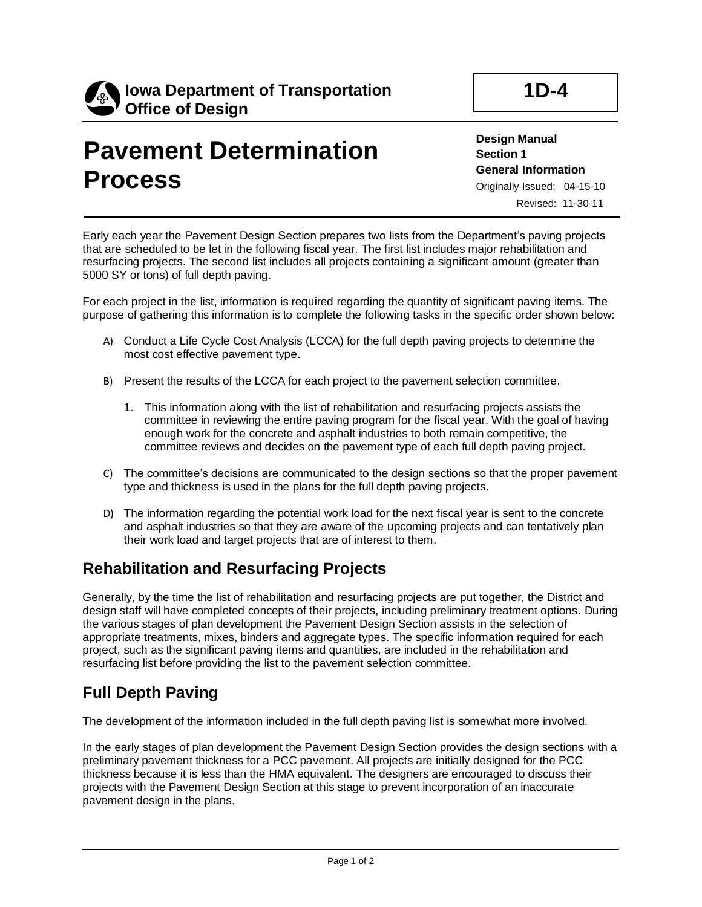

# **Pavement Determination Process**

**Design Manual Section 1 General Information** Originally Issued: 04-15-10 Revised: 11-30-11

Early each year the Pavement Design Section prepares two lists from the Department's paving projects that are scheduled to be let in the following fiscal year. The first list includes major rehabilitation and resurfacing projects. The second list includes all projects containing a significant amount (greater than 5000 SY or tons) of full depth paving.

For each project in the list, information is required regarding the quantity of significant paving items. The purpose of gathering this information is to complete the following tasks in the specific order shown below:

- A) Conduct a Life Cycle Cost Analysis (LCCA) for the full depth paving projects to determine the most cost effective pavement type.
- B) Present the results of the LCCA for each project to the pavement selection committee.
	- 1. This information along with the list of rehabilitation and resurfacing projects assists the committee in reviewing the entire paving program for the fiscal year. With the goal of having enough work for the concrete and asphalt industries to both remain competitive, the committee reviews and decides on the pavement type of each full depth paving project.
- C) The committee's decisions are communicated to the design sections so that the proper pavement type and thickness is used in the plans for the full depth paving projects.
- D) The information regarding the potential work load for the next fiscal year is sent to the concrete and asphalt industries so that they are aware of the upcoming projects and can tentatively plan their work load and target projects that are of interest to them.

## **Rehabilitation and Resurfacing Projects**

Generally, by the time the list of rehabilitation and resurfacing projects are put together, the District and design staff will have completed concepts of their projects, including preliminary treatment options. During the various stages of plan development the Pavement Design Section assists in the selection of appropriate treatments, mixes, binders and aggregate types. The specific information required for each project, such as the significant paving items and quantities, are included in the rehabilitation and resurfacing list before providing the list to the pavement selection committee.

# **Full Depth Paving**

The development of the information included in the full depth paving list is somewhat more involved.

In the early stages of plan development the Pavement Design Section provides the design sections with a preliminary pavement thickness for a PCC pavement. All projects are initially designed for the PCC thickness because it is less than the HMA equivalent. The designers are encouraged to discuss their projects with the Pavement Design Section at this stage to prevent incorporation of an inaccurate pavement design in the plans.